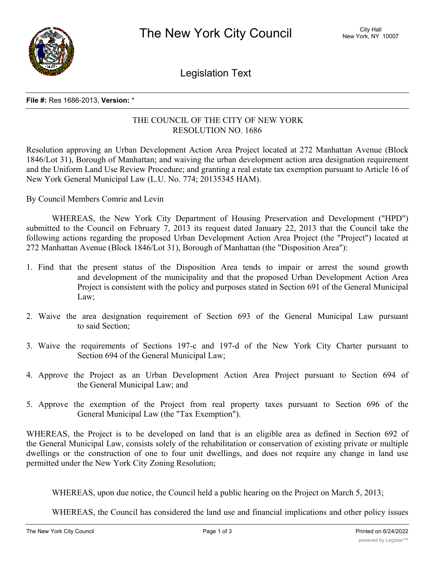

Legislation Text

## **File #:** Res 1686-2013, **Version:** \*

## THE COUNCIL OF THE CITY OF NEW YORK RESOLUTION NO. 1686

Resolution approving an Urban Development Action Area Project located at 272 Manhattan Avenue (Block 1846/Lot 31), Borough of Manhattan; and waiving the urban development action area designation requirement and the Uniform Land Use Review Procedure; and granting a real estate tax exemption pursuant to Article 16 of New York General Municipal Law (L.U. No. 774; 20135345 HAM).

By Council Members Comrie and Levin

WHEREAS, the New York City Department of Housing Preservation and Development ("HPD") submitted to the Council on February 7, 2013 its request dated January 22, 2013 that the Council take the following actions regarding the proposed Urban Development Action Area Project (the "Project") located at 272 Manhattan Avenue (Block 1846/Lot 31), Borough of Manhattan (the "Disposition Area"):

- 1. Find that the present status of the Disposition Area tends to impair or arrest the sound growth and development of the municipality and that the proposed Urban Development Action Area Project is consistent with the policy and purposes stated in Section 691 of the General Municipal Law;
- 2. Waive the area designation requirement of Section 693 of the General Municipal Law pursuant to said Section;
- 3. Waive the requirements of Sections 197-c and 197-d of the New York City Charter pursuant to Section 694 of the General Municipal Law;
- 4. Approve the Project as an Urban Development Action Area Project pursuant to Section 694 of the General Municipal Law; and
- 5. Approve the exemption of the Project from real property taxes pursuant to Section 696 of the General Municipal Law (the "Tax Exemption").

WHEREAS, the Project is to be developed on land that is an eligible area as defined in Section 692 of the General Municipal Law, consists solely of the rehabilitation or conservation of existing private or multiple dwellings or the construction of one to four unit dwellings, and does not require any change in land use permitted under the New York City Zoning Resolution;

WHEREAS, upon due notice, the Council held a public hearing on the Project on March 5, 2013;

WHEREAS, the Council has considered the land use and financial implications and other policy issues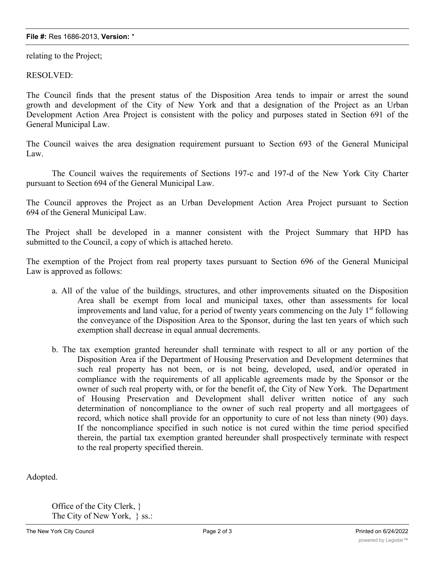## **File #:** Res 1686-2013, **Version:** \*

relating to the Project;

RESOLVED:

The Council finds that the present status of the Disposition Area tends to impair or arrest the sound growth and development of the City of New York and that a designation of the Project as an Urban Development Action Area Project is consistent with the policy and purposes stated in Section 691 of the General Municipal Law.

The Council waives the area designation requirement pursuant to Section 693 of the General Municipal Law.

The Council waives the requirements of Sections 197-c and 197-d of the New York City Charter pursuant to Section 694 of the General Municipal Law.

The Council approves the Project as an Urban Development Action Area Project pursuant to Section 694 of the General Municipal Law.

The Project shall be developed in a manner consistent with the Project Summary that HPD has submitted to the Council, a copy of which is attached hereto.

The exemption of the Project from real property taxes pursuant to Section 696 of the General Municipal Law is approved as follows:

- a. All of the value of the buildings, structures, and other improvements situated on the Disposition Area shall be exempt from local and municipal taxes, other than assessments for local improvements and land value, for a period of twenty years commencing on the July  $1<sup>st</sup>$  following the conveyance of the Disposition Area to the Sponsor, during the last ten years of which such exemption shall decrease in equal annual decrements.
- b. The tax exemption granted hereunder shall terminate with respect to all or any portion of the Disposition Area if the Department of Housing Preservation and Development determines that such real property has not been, or is not being, developed, used, and/or operated in compliance with the requirements of all applicable agreements made by the Sponsor or the owner of such real property with, or for the benefit of, the City of New York. The Department of Housing Preservation and Development shall deliver written notice of any such determination of noncompliance to the owner of such real property and all mortgagees of record, which notice shall provide for an opportunity to cure of not less than ninety (90) days. If the noncompliance specified in such notice is not cured within the time period specified therein, the partial tax exemption granted hereunder shall prospectively terminate with respect to the real property specified therein.

Adopted.

Office of the City Clerk, } The City of New York, } ss.: